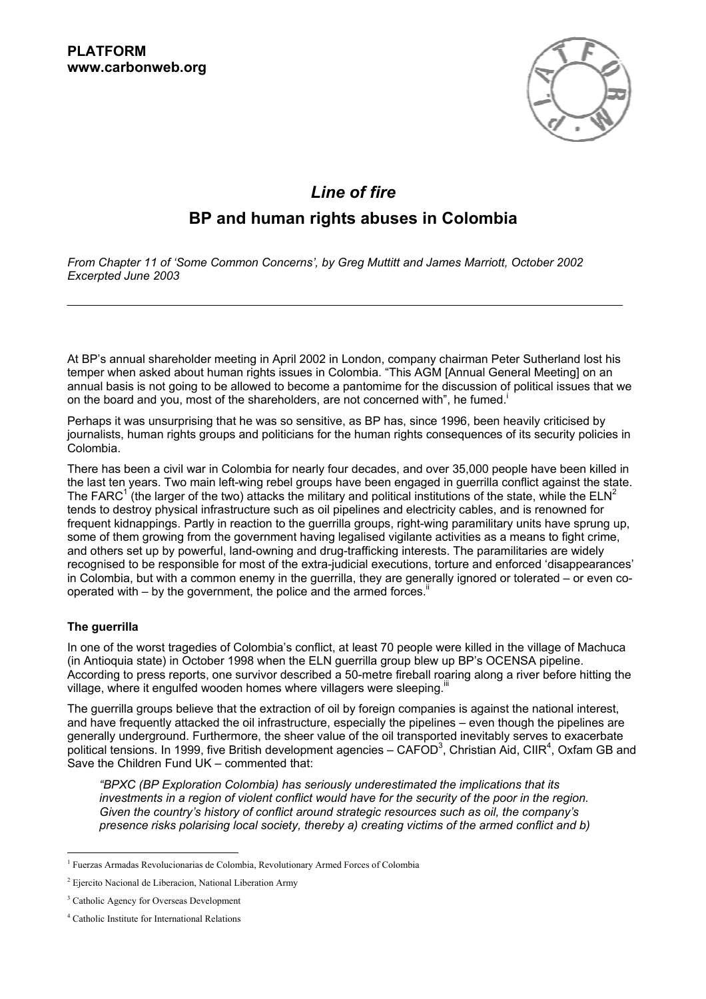

# *Line of fire*

## **BP and human rights abuses in Colombia**

*From Chapter 11 of ëSome Common Concernsí, by Greg Muttitt and James Marriott, October 2002 Excerpted June 2003* 

At BPís annual shareholder meeting in April 2002 in London, company chairman Peter Sutherland lost his temper when asked about human rights issues in Colombia. "This AGM [Annual General Meeting] on an annual basis is not going to be allowed to become a pantomime for the discussion of political issues that we on the board and you, most of the shareholders, are not concerned with", he fumed.<sup>i</sup>

Perhaps it was unsurprising that he was so sensitive, as BP has, since 1996, been heavily criticised by journalists, human rights groups and politicians for the human rights consequences of its security policies in Colombia.

There has been a civil war in Colombia for nearly four decades, and over 35,000 people have been killed in the last ten years. Two main left-wing rebel groups have been engaged in guerrilla conflict against the state. The FARC<sup>1</sup> (the larger of the two) attacks the military and political institutions of the state, while the ELN<sup>2</sup> tends to destroy physical infrastructure such as oil pipelines and electricity cables, and is renowned for frequent kidnappings. Partly in reaction to the guerrilla groups, right-wing paramilitary units have sprung up, some of them growing from the government having legalised vigilante activities as a means to fight crime, and others set up by powerful, land-owning and drug-trafficking interests. The paramilitaries are widely recognised to be responsible for most of the extra-judicial executions, torture and enforced 'disappearances' in Colombia, but with a common enemy in the guerrilla, they are generally ignored or tolerated  $-$  or even cooperated with  $-$  by the government, the police and the armed forces.<sup>ii</sup>

### **The guerrilla**

In one of the worst tragedies of Colombiaís conflict, at least 70 people were killed in the village of Machuca (in Antioquia state) in October 1998 when the ELN guerrilla group blew up BPís OCENSA pipeline. According to press reports, one survivor described a 50-metre fireball roaring along a river before hitting the village, where it engulfed wooden homes where villagers were sleeping.<sup>iii</sup>

The guerrilla groups believe that the extraction of oil by foreign companies is against the national interest, and have frequently attacked the oil infrastructure, especially the pipelines – even though the pipelines are generally underground. Furthermore, the sheer value of the oil transported inevitably serves to exacerbate political tensions. In 1999, five British development agencies – CAFOD<sup>3</sup>, Christian Aid, CIIR<sup>4</sup>, Oxfam GB and Save the Children Fund UK  $-$  commented that:

*ìBPXC (BP Exploration Colombia) has seriously underestimated the implications that its investments in a region of violent conflict would have for the security of the poor in the region. Given the countryís history of conflict around strategic resources such as oil, the companyís presence risks polarising local society, thereby a) creating victims of the armed conflict and b)* 

l <sup>1</sup> Fuerzas Armadas Revolucionarias de Colombia, Revolutionary Armed Forces of Colombia

<sup>&</sup>lt;sup>2</sup> Ejercito Nacional de Liberacion, National Liberation Army

<sup>&</sup>lt;sup>3</sup> Catholic Agency for Overseas Development

<sup>4</sup> Catholic Institute for International Relations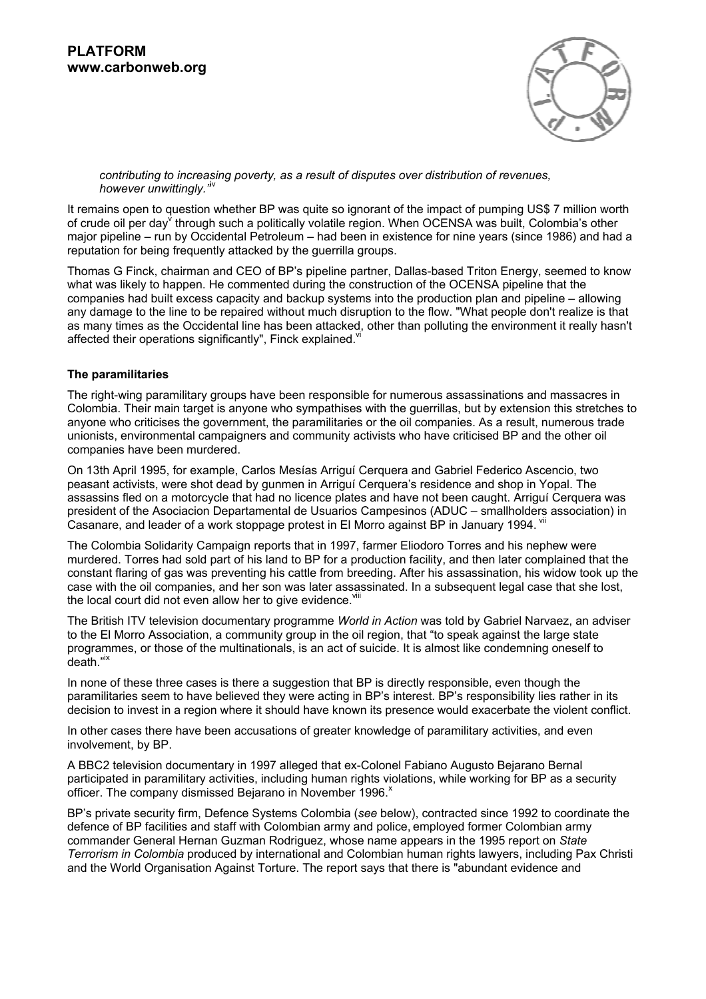

*contributing to increasing poverty, as a result of disputes over distribution of revenues, however unwittingly.*<sup> $i$ v</sup>

It remains open to question whether BP was quite so ignorant of the impact of pumping US\$ 7 million worth of crude oil per day<sup>v</sup> through such a politically volatile region. When OCENSA was built, Colombia's other major pipeline – run by Occidental Petroleum – had been in existence for nine years (since 1986) and had a reputation for being frequently attacked by the guerrilla groups.

Thomas G Finck, chairman and CEO of BP's pipeline partner, Dallas-based Triton Energy, seemed to know what was likely to happen. He commented during the construction of the OCENSA pipeline that the companies had built excess capacity and backup systems into the production plan and pipeline – allowing any damage to the line to be repaired without much disruption to the flow. "What people don't realize is that as many times as the Occidental line has been attacked, other than polluting the environment it really hasn't affected their operations significantly", Finck explained. Vi

#### **The paramilitaries**

The right-wing paramilitary groups have been responsible for numerous assassinations and massacres in Colombia. Their main target is anyone who sympathises with the guerrillas, but by extension this stretches to anyone who criticises the government, the paramilitaries or the oil companies. As a result, numerous trade unionists, environmental campaigners and community activists who have criticised BP and the other oil companies have been murdered.

On 13th April 1995, for example, Carlos Mesías Arriguí Cerquera and Gabriel Federico Ascencio, two peasant activists, were shot dead by gunmen in Arriguí Cerguera's residence and shop in Yopal. The assassins fled on a motorcycle that had no licence plates and have not been caught. Arriguí Cerquera was president of the Asociacion Departamental de Usuarios Campesinos (ADUC - smallholders association) in Casanare, and leader of a work stoppage protest in El Morro against BP in January 1994. Vii

The Colombia Solidarity Campaign reports that in 1997, farmer Eliodoro Torres and his nephew were murdered. Torres had sold part of his land to BP for a production facility, and then later complained that the constant flaring of gas was preventing his cattle from breeding. After his assassination, his widow took up the case with the oil companies, and her son was later assassinated. In a subsequent legal case that she lost, the local court did not even allow her to give evidence.  $v^{\text{init}}$ 

The British ITV television documentary programme *World in Action* was told by Gabriel Narvaez, an adviser to the El Morro Association, a community group in the oil region, that "to speak against the large state programmes, or those of the multinationals, is an act of suicide. It is almost like condemning oneself to .<br>death."<sup>ix</sup>

In none of these three cases is there a suggestion that BP is directly responsible, even though the paramilitaries seem to have believed they were acting in BP's interest. BP's responsibility lies rather in its decision to invest in a region where it should have known its presence would exacerbate the violent conflict.

In other cases there have been accusations of greater knowledge of paramilitary activities, and even involvement, by BP.

A BBC2 television documentary in 1997 alleged that ex-Colonel Fabiano Augusto Bejarano Bernal participated in paramilitary activities, including human rights violations, while working for BP as a security officer. The company dismissed Bejarano in November 1996.<sup>x</sup>

BPís private security firm, Defence Systems Colombia (*see* below), contracted since 1992 to coordinate the defence of BP facilities and staff with Colombian army and police, employed former Colombian army commander General Hernan Guzman Rodriguez, whose name appears in the 1995 report on *State Terrorism in Colombia* produced by international and Colombian human rights lawyers, including Pax Christi and the World Organisation Against Torture. The report says that there is "abundant evidence and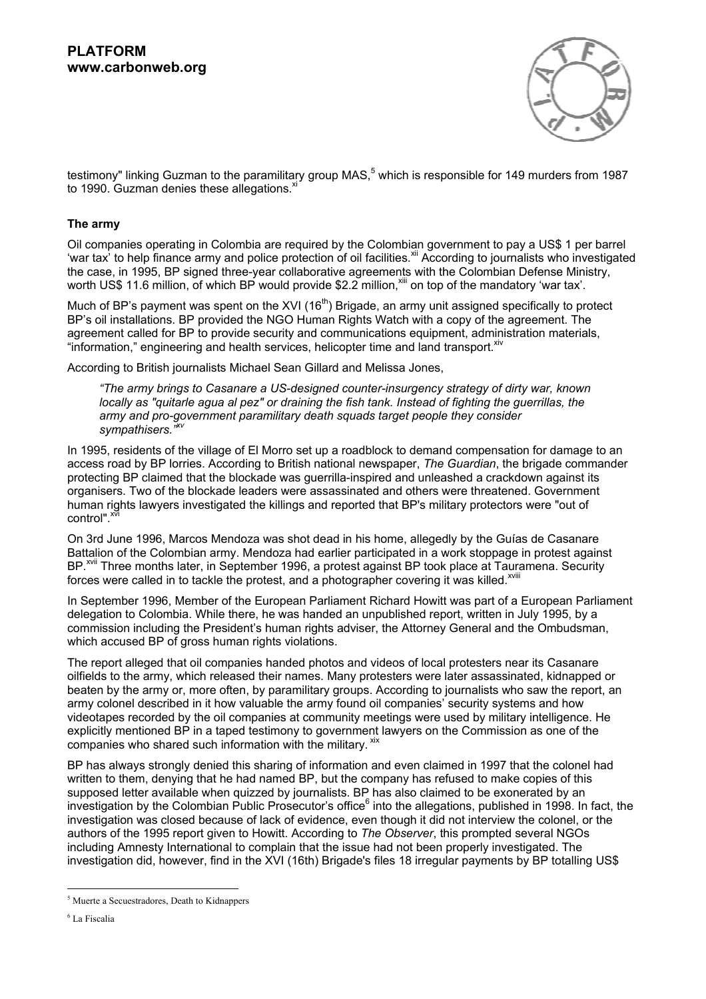

testimony" linking Guzman to the paramilitary group MAS,<sup>5</sup> which is responsible for 149 murders from 1987 to 1990. Guzman denies these allegations.<sup>xi</sup>

#### **The army**

Oil companies operating in Colombia are required by the Colombian government to pay a US\$ 1 per barrel 'war tax<sup>'</sup> to help finance army and police protection of oil facilities.<sup>xii</sup> According to journalists who investigated the case, in 1995, BP signed three-year collaborative agreements with the Colombian Defense Ministry, worth US\$ 11.6 million, of which BP would provide \$2.2 million.<sup>xiii</sup> on top of the mandatory 'war tax'.

Much of BP's payment was spent on the XVI (16<sup>th</sup>) Brigade, an army unit assigned specifically to protect BP's oil installations. BP provided the NGO Human Rights Watch with a copy of the agreement. The agreement called for BP to provide security and communications equipment, administration materials, "information," engineering and health services, helicopter time and land transport. xiv

According to British journalists Michael Sean Gillard and Melissa Jones,

*ìThe army brings to Casanare a US-designed counter-insurgency strategy of dirty war, known locally as "quitarle agua al pez" or draining the fish tank. Instead of fighting the guerrillas, the army and pro-government paramilitary death squads target people they consider*  sympathisers.<sup>"<sup>*xv*</sup></sup>

In 1995, residents of the village of El Morro set up a roadblock to demand compensation for damage to an access road by BP lorries. According to British national newspaper, *The Guardian*, the brigade commander protecting BP claimed that the blockade was guerrilla-inspired and unleashed a crackdown against its organisers. Two of the blockade leaders were assassinated and others were threatened. Government human rights lawyers investigated the killings and reported that BP's military protectors were "out of control".<sup>xvi</sup>

On 3rd June 1996, Marcos Mendoza was shot dead in his home, allegedly by the Guías de Casanare Battalion of the Colombian army. Mendoza had earlier participated in a work stoppage in protest against BP.<sup>xvii</sup> Three months later, in September 1996, a protest against BP took place at Tauramena. Security forces were called in to tackle the protest, and a photographer covering it was killed.<sup>xviii</sup>

In September 1996, Member of the European Parliament Richard Howitt was part of a European Parliament delegation to Colombia. While there, he was handed an unpublished report, written in July 1995, by a commission including the Presidentís human rights adviser, the Attorney General and the Ombudsman, which accused BP of gross human rights violations.

The report alleged that oil companies handed photos and videos of local protesters near its Casanare oilfields to the army, which released their names. Many protesters were later assassinated, kidnapped or beaten by the army or, more often, by paramilitary groups. According to journalists who saw the report, an army colonel described in it how valuable the army found oil companies' security systems and how videotapes recorded by the oil companies at community meetings were used by military intelligence. He explicitly mentioned BP in a taped testimony to government lawyers on the Commission as one of the companies who shared such information with the military. xix

BP has always strongly denied this sharing of information and even claimed in 1997 that the colonel had written to them, denying that he had named BP, but the company has refused to make copies of this supposed letter available when quizzed by journalists. BP has also claimed to be exonerated by an investigation by the Colombian Public Prosecutor's office<sup>6</sup> into the allegations, published in 1998. In fact, the investigation was closed because of lack of evidence, even though it did not interview the colonel, or the authors of the 1995 report given to Howitt. According to *The Observer*, this prompted several NGOs including Amnesty International to complain that the issue had not been properly investigated. The investigation did, however, find in the XVI (16th) Brigade's files 18 irregular payments by BP totalling US\$

l <sup>5</sup> Muerte a Secuestradores, Death to Kidnappers

<sup>6</sup> La Fiscalia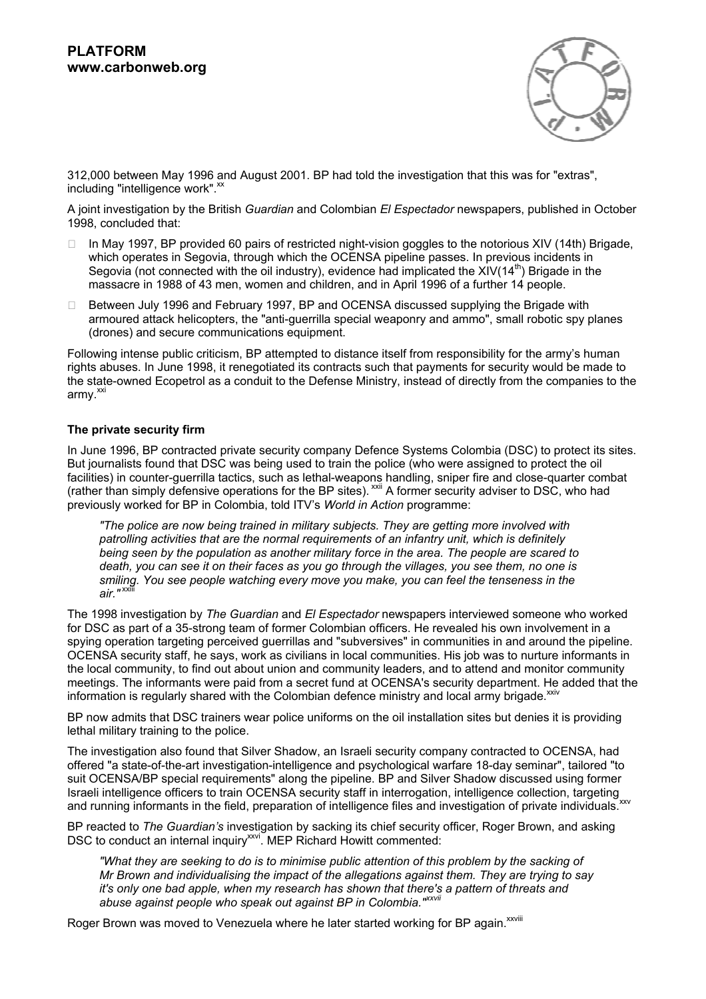

312,000 between May 1996 and August 2001. BP had told the investigation that this was for "extras", including "intelligence work".<sup>xx</sup>

A joint investigation by the British *Guardian* and Colombian *El Espectador* newspapers, published in October 1998, concluded that:

 In May 1997, BP provided 60 pairs of restricted night-vision goggles to the notorious XIV (14th) Brigade, which operates in Segovia, through which the OCENSA pipeline passes. In previous incidents in Segovia (not connected with the oil industry), evidence had implicated the XIV(14<sup>th</sup>) Brigade in the massacre in 1988 of 43 men, women and children, and in April 1996 of a further 14 people.

 Between July 1996 and February 1997, BP and OCENSA discussed supplying the Brigade with armoured attack helicopters, the "anti-guerrilla special weaponry and ammo", small robotic spy planes (drones) and secure communications equipment.

Following intense public criticism, BP attempted to distance itself from responsibility for the armyís human rights abuses. In June 1998, it renegotiated its contracts such that payments for security would be made to the state-owned Ecopetrol as a conduit to the Defense Ministry, instead of directly from the companies to the  $armv.<sup>xx</sup>$ 

#### **The private security firm**

In June 1996, BP contracted private security company Defence Systems Colombia (DSC) to protect its sites. But journalists found that DSC was being used to train the police (who were assigned to protect the oil facilities) in counter-guerrilla tactics, such as lethal-weapons handling, sniper fire and close-quarter combat (rather than simply defensive operations for the BP sites). xxii A former security adviser to DSC, who had previously worked for BP in Colombia, told ITV's *World in Action* programme:

*"The police are now being trained in military subjects. They are getting more involved with patrolling activities that are the normal requirements of an infantry unit, which is definitely being seen by the population as another military force in the area. The people are scared to death, you can see it on their faces as you go through the villages, you see them, no one is smiling. You see people watching every move you make, you can feel the tenseness in the air."* xxiii

The 1998 investigation by *The Guardian* and *El Espectador* newspapers interviewed someone who worked for DSC as part of a 35-strong team of former Colombian officers. He revealed his own involvement in a spying operation targeting perceived guerrillas and "subversives" in communities in and around the pipeline. OCENSA security staff, he says, work as civilians in local communities. His job was to nurture informants in the local community, to find out about union and community leaders, and to attend and monitor community meetings. The informants were paid from a secret fund at OCENSA's security department. He added that the information is regularly shared with the Colombian defence ministry and local army brigade. XXIV

BP now admits that DSC trainers wear police uniforms on the oil installation sites but denies it is providing lethal military training to the police.

The investigation also found that Silver Shadow, an Israeli security company contracted to OCENSA, had offered "a state-of-the-art investigation-intelligence and psychological warfare 18-day seminar", tailored "to suit OCENSA/BP special requirements" along the pipeline. BP and Silver Shadow discussed using former Israeli intelligence officers to train OCENSA security staff in interrogation, intelligence collection, targeting and running informants in the field, preparation of intelligence files and investigation of private individuals.

BP reacted to *The Guardianís* investigation by sacking its chief security officer, Roger Brown, and asking DSC to conduct an internal inquiry<sup>xxvi</sup>. MEP Richard Howitt commented:

*"What they are seeking to do is to minimise public attention of this problem by the sacking of Mr Brown and individualising the impact of the allegations against them. They are trying to say it's only one bad apple, when my research has shown that there's a pattern of threats and*  abuse against people who speak out against BP in Colombia.<sup>"</sup>

Roger Brown was moved to Venezuela where he later started working for BP again.<sup>xxviii</sup>